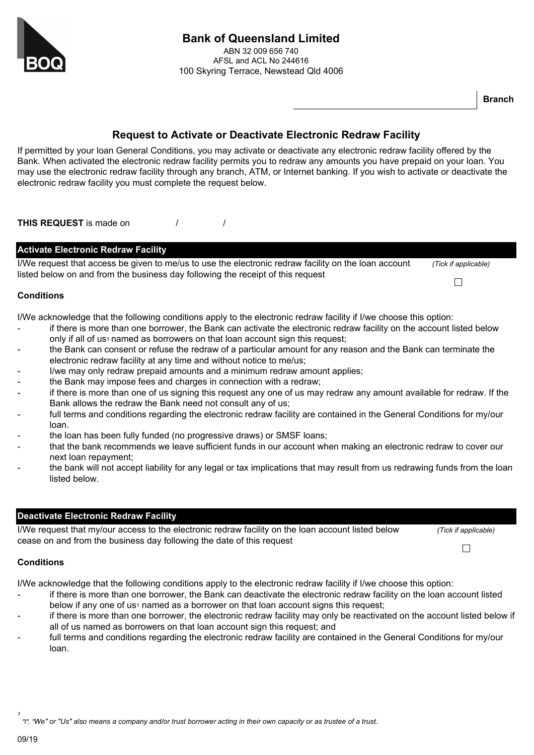

# **Bank of Queensland Limited**

ABN 32 009 656 740 AFSL and ACL No 244616 100 Skyring Terrace, Newstead Qld 4006

**Branch**

## **Request to Activate or Deactivate Electronic Redraw Facility**

If permitted by your loan General Conditions, you may activate or deactivate any electronic redraw facility offered by the Bank. When activated the electronic redraw facility permits you to redraw any amounts you have prepaid on your loan. You may use the electronic redraw facility through any branch, ATM, or Internet banking. If you wish to activate or deactivate the electronic redraw facility you must complete the request below.

**THIS REQUEST** is made on / /

| <b>Activate Electronic Redraw Facility</b>                                                                                                                                              |                      |
|-----------------------------------------------------------------------------------------------------------------------------------------------------------------------------------------|----------------------|
| I/We request that access be given to me/us to use the electronic redraw facility on the loan account<br>listed below on and from the business day following the receipt of this request | (Tick if applicable) |
|                                                                                                                                                                                         |                      |

#### **Conditions**

I/We acknowledge that the following conditions apply to the electronic redraw facility if I/we choose this option:

- if there is more than one borrower, the Bank can activate the electronic redraw facility on the account listed below only if all of us<sup>1</sup> named as borrowers on that loan account sign this request;
- the Bank can consent or refuse the redraw of a particular amount for any reason and the Bank can terminate the electronic redraw facility at any time and without notice to me/us;
- I/we may only redraw prepaid amounts and a minimum redraw amount applies;
- the Bank may impose fees and charges in connection with a redraw;
- if there is more than one of us signing this request any one of us may redraw any amount available for redraw. If the Bank allows the redraw the Bank need not consult any of us;
- full terms and conditions regarding the electronic redraw facility are contained in the General Conditions for my/our loan.
- the loan has been fully funded (no progressive draws) or SMSF loans;
- that the bank recommends we leave sufficient funds in our account when making an electronic redraw to cover our next loan repayment;
- the bank will not accept liability for any legal or tax implications that may result from us redrawing funds from the loan listed below.

### **Deactivate Electronic Redraw Facility**

I/We request that my/our access to the electronic redraw facility on the loan account listed below *(Tick if applicable)* cease on and from the business day following the date of this request  $\Box$ 

#### **Conditions**

I/We acknowledge that the following conditions apply to the electronic redraw facility if I/we choose this option:

- if there is more than one borrower, the Bank can deactivate the electronic redraw facility on the loan account listed below if any one of us<sup>1</sup> named as a borrower on that loan account signs this request;
- if there is more than one borrower, the electronic redraw facility may only be reactivated on the account listed below if all of us named as borrowers on that loan account sign this request; and
- full terms and conditions regarding the electronic redraw facility are contained in the General Conditions for my/our loan.

*1 "I", "We" or "Us" also means a company and/or trust borrower acting in their own capacity or as trustee of a trust.*